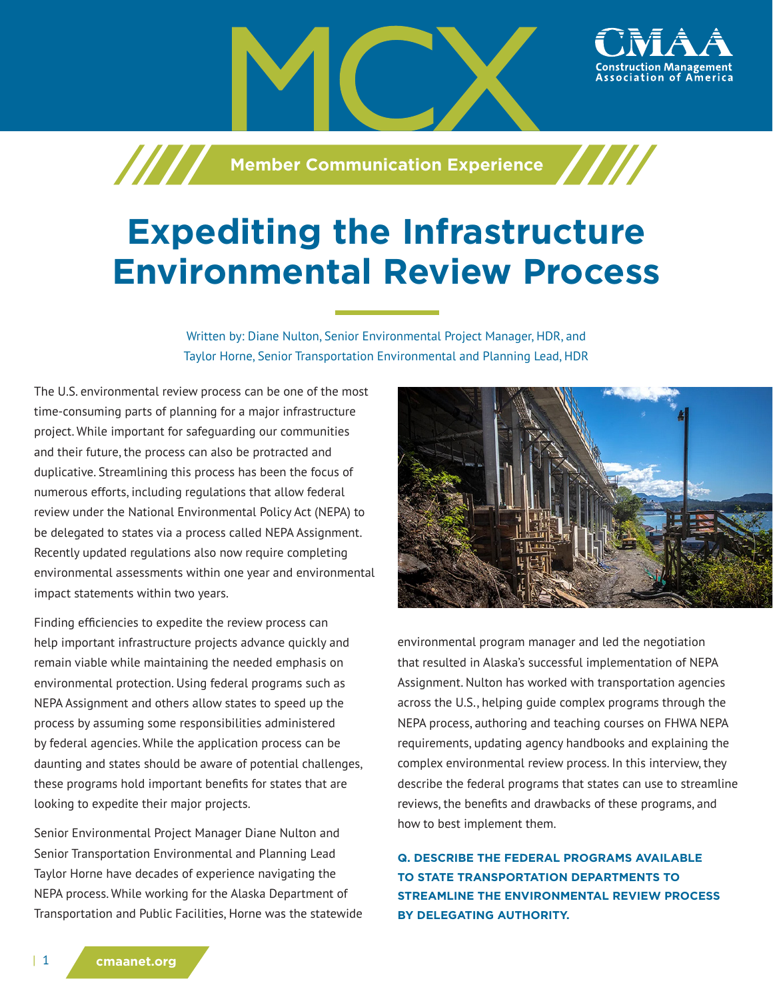**Machim Communication Experience** 

# **Expediting the Infrastructure Environmental Review Process**

Written by: Diane Nulton, Senior Environmental Project Manager, HDR, and Taylor Horne, Senior Transportation Environmental and Planning Lead, HDR

The U.S. environmental review process can be one of the most time-consuming parts of planning for a major infrastructure project. While important for safeguarding our communities and their future, the process can also be protracted and duplicative. Streamlining this process has been the focus of numerous efforts, including regulations that allow federal review under the National Environmental Policy Act (NEPA) to be delegated to states via a process called NEPA Assignment. Recently updated regulations also now require completing environmental assessments within one year and environmental impact statements within two years.

Finding efficiencies to expedite the review process can help important infrastructure projects advance quickly and remain viable while maintaining the needed emphasis on environmental protection. Using federal programs such as NEPA Assignment and others allow states to speed up the process by assuming some responsibilities administered by federal agencies. While the application process can be daunting and states should be aware of potential challenges, these programs hold important benefits for states that are looking to expedite their major projects.

Senior Environmental Project Manager Diane Nulton and Senior Transportation Environmental and Planning Lead Taylor Horne have decades of experience navigating the NEPA process. While working for the Alaska Department of Transportation and Public Facilities, Horne was the statewide



ssociation of America،

environmental program manager and led the negotiation that resulted in Alaska's successful implementation of NEPA Assignment. Nulton has worked with transportation agencies across the U.S., helping guide complex programs through the NEPA process, authoring and teaching courses on FHWA NEPA requirements, updating agency handbooks and explaining the complex environmental review process. In this interview, they describe the federal programs that states can use to streamline reviews, the benefits and drawbacks of these programs, and how to best implement them.

**Q. DESCRIBE THE FEDERAL PROGRAMS AVAILABLE TO STATE TRANSPORTATION DEPARTMENTS TO STREAMLINE THE ENVIRONMENTAL REVIEW PROCESS BY DELEGATING AUTHORITY.**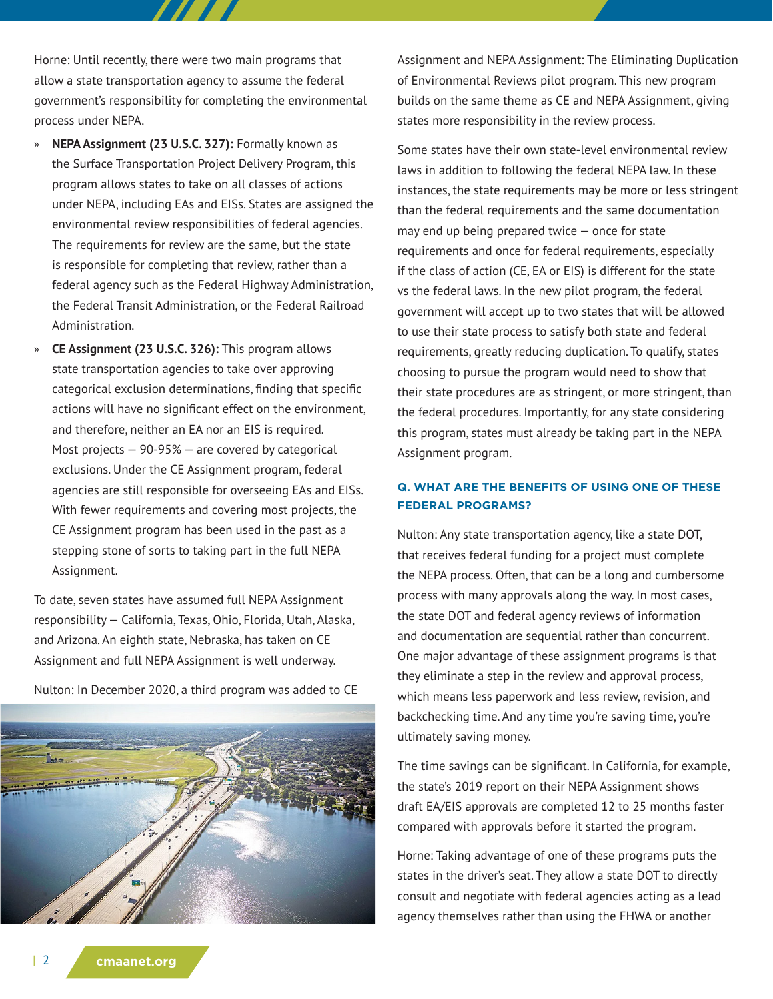Horne: Until recently, there were two main programs that allow a state transportation agency to assume the federal government's responsibility for completing the environmental process under NEPA.

- » **NEPA Assignment (23 U.S.C. 327):** Formally known as the Surface Transportation Project Delivery Program, this program allows states to take on all classes of actions under NEPA, including EAs and EISs. States are assigned the environmental review responsibilities of federal agencies. The requirements for review are the same, but the state is responsible for completing that review, rather than a federal agency such as the Federal Highway Administration, the Federal Transit Administration, or the Federal Railroad Administration.
- » **CE Assignment (23 U.S.C. 326):** This program allows state transportation agencies to take over approving categorical exclusion determinations, finding that specific actions will have no significant effect on the environment, and therefore, neither an EA nor an EIS is required. Most projects  $-90-95%$   $-$  are covered by categorical exclusions. Under the CE Assignment program, federal agencies are still responsible for overseeing EAs and EISs. With fewer requirements and covering most projects, the CE Assignment program has been used in the past as a stepping stone of sorts to taking part in the full NEPA Assignment.

To date, seven states have assumed full NEPA Assignment responsibility — California, Texas, Ohio, Florida, Utah, Alaska, and Arizona. An eighth state, Nebraska, has taken on CE Assignment and full NEPA Assignment is well underway.

Nulton: In December 2020, a third program was added to CE



Assignment and NEPA Assignment: The Eliminating Duplication of Environmental Reviews pilot program. This new program builds on the same theme as CE and NEPA Assignment, giving states more responsibility in the review process.

Some states have their own state-level environmental review laws in addition to following the federal NEPA law. In these instances, the state requirements may be more or less stringent than the federal requirements and the same documentation may end up being prepared twice — once for state requirements and once for federal requirements, especially if the class of action (CE, EA or EIS) is different for the state vs the federal laws. In the new pilot program, the federal government will accept up to two states that will be allowed to use their state process to satisfy both state and federal requirements, greatly reducing duplication. To qualify, states choosing to pursue the program would need to show that their state procedures are as stringent, or more stringent, than the federal procedures. Importantly, for any state considering this program, states must already be taking part in the NEPA Assignment program.

#### **Q. WHAT ARE THE BENEFITS OF USING ONE OF THESE FEDERAL PROGRAMS?**

Nulton: Any state transportation agency, like a state DOT, that receives federal funding for a project must complete the NEPA process. Often, that can be a long and cumbersome process with many approvals along the way. In most cases, the state DOT and federal agency reviews of information and documentation are sequential rather than concurrent. One major advantage of these assignment programs is that they eliminate a step in the review and approval process, which means less paperwork and less review, revision, and backchecking time. And any time you're saving time, you're ultimately saving money.

The time savings can be significant. In California, for example, the state's 2019 report on their NEPA Assignment shows draft EA/EIS approvals are completed 12 to 25 months faster compared with approvals before it started the program.

Horne: Taking advantage of one of these programs puts the states in the driver's seat. They allow a state DOT to directly consult and negotiate with federal agencies acting as a lead agency themselves rather than using the FHWA or another

| 2 **cmaanet.org**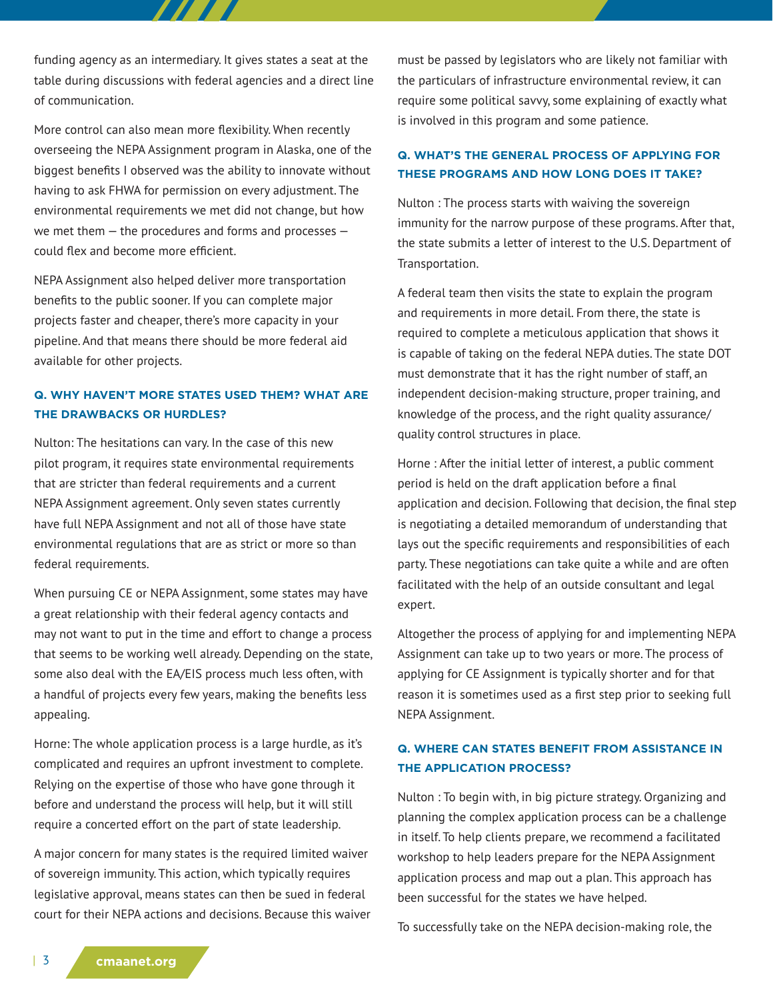funding agency as an intermediary. It gives states a seat at the table during discussions with federal agencies and a direct line of communication.

777 T

More control can also mean more flexibility. When recently overseeing the NEPA Assignment program in Alaska, one of the biggest benefits I observed was the ability to innovate without having to ask FHWA for permission on every adjustment. The environmental requirements we met did not change, but how we met them — the procedures and forms and processes could flex and become more efficient.

NEPA Assignment also helped deliver more transportation benefits to the public sooner. If you can complete major projects faster and cheaper, there's more capacity in your pipeline. And that means there should be more federal aid available for other projects.

# **Q. WHY HAVEN'T MORE STATES USED THEM? WHAT ARE THE DRAWBACKS OR HURDLES?**

Nulton: The hesitations can vary. In the case of this new pilot program, it requires state environmental requirements that are stricter than federal requirements and a current NEPA Assignment agreement. Only seven states currently have full NEPA Assignment and not all of those have state environmental regulations that are as strict or more so than federal requirements.

When pursuing CE or NEPA Assignment, some states may have a great relationship with their federal agency contacts and may not want to put in the time and effort to change a process that seems to be working well already. Depending on the state, some also deal with the EA/EIS process much less often, with a handful of projects every few years, making the benefits less appealing.

Horne: The whole application process is a large hurdle, as it's complicated and requires an upfront investment to complete. Relying on the expertise of those who have gone through it before and understand the process will help, but it will still require a concerted effort on the part of state leadership.

A major concern for many states is the required limited waiver of sovereign immunity. This action, which typically requires legislative approval, means states can then be sued in federal court for their NEPA actions and decisions. Because this waiver must be passed by legislators who are likely not familiar with the particulars of infrastructure environmental review, it can require some political savvy, some explaining of exactly what is involved in this program and some patience.

# **Q. WHAT'S THE GENERAL PROCESS OF APPLYING FOR THESE PROGRAMS AND HOW LONG DOES IT TAKE?**

Nulton : The process starts with waiving the sovereign immunity for the narrow purpose of these programs. After that, the state submits a letter of interest to the U.S. Department of Transportation.

A federal team then visits the state to explain the program and requirements in more detail. From there, the state is required to complete a meticulous application that shows it is capable of taking on the federal NEPA duties. The state DOT must demonstrate that it has the right number of staff, an independent decision-making structure, proper training, and knowledge of the process, and the right quality assurance/ quality control structures in place.

Horne : After the initial letter of interest, a public comment period is held on the draft application before a final application and decision. Following that decision, the final step is negotiating a detailed memorandum of understanding that lays out the specific requirements and responsibilities of each party. These negotiations can take quite a while and are often facilitated with the help of an outside consultant and legal expert.

Altogether the process of applying for and implementing NEPA Assignment can take up to two years or more. The process of applying for CE Assignment is typically shorter and for that reason it is sometimes used as a first step prior to seeking full NEPA Assignment.

## **Q. WHERE CAN STATES BENEFIT FROM ASSISTANCE IN THE APPLICATION PROCESS?**

Nulton : To begin with, in big picture strategy. Organizing and planning the complex application process can be a challenge in itself. To help clients prepare, we recommend a facilitated workshop to help leaders prepare for the NEPA Assignment application process and map out a plan. This approach has been successful for the states we have helped.

To successfully take on the NEPA decision-making role, the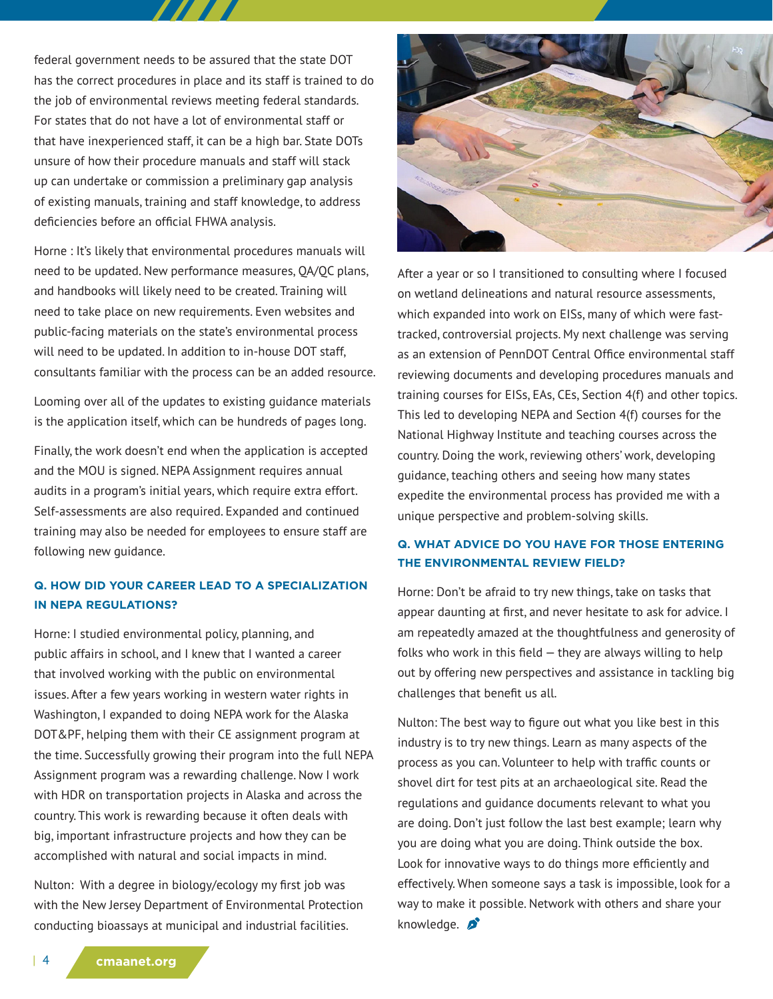federal government needs to be assured that the state DOT has the correct procedures in place and its staff is trained to do the job of environmental reviews meeting federal standards. For states that do not have a lot of environmental staff or that have inexperienced staff, it can be a high bar. State DOTs unsure of how their procedure manuals and staff will stack up can undertake or commission a preliminary gap analysis of existing manuals, training and staff knowledge, to address deficiencies before an official FHWA analysis.

Horne : It's likely that environmental procedures manuals will need to be updated. New performance measures, QA/QC plans, and handbooks will likely need to be created. Training will need to take place on new requirements. Even websites and public-facing materials on the state's environmental process will need to be updated. In addition to in-house DOT staff, consultants familiar with the process can be an added resource.

Looming over all of the updates to existing guidance materials is the application itself, which can be hundreds of pages long.

Finally, the work doesn't end when the application is accepted and the MOU is signed. NEPA Assignment requires annual audits in a program's initial years, which require extra effort. Self-assessments are also required. Expanded and continued training may also be needed for employees to ensure staff are following new guidance.

#### **Q. HOW DID YOUR CAREER LEAD TO A SPECIALIZATION IN NEPA REGULATIONS?**

Horne: I studied environmental policy, planning, and public affairs in school, and I knew that I wanted a career that involved working with the public on environmental issues. After a few years working in western water rights in Washington, I expanded to doing NEPA work for the Alaska DOT&PF, helping them with their CE assignment program at the time. Successfully growing their program into the full NEPA Assignment program was a rewarding challenge. Now I work with HDR on transportation projects in Alaska and across the country. This work is rewarding because it often deals with big, important infrastructure projects and how they can be accomplished with natural and social impacts in mind.

Nulton: With a degree in biology/ecology my first job was with the New Jersey Department of Environmental Protection conducting bioassays at municipal and industrial facilities.



After a year or so I transitioned to consulting where I focused on wetland delineations and natural resource assessments, which expanded into work on EISs, many of which were fasttracked, controversial projects. My next challenge was serving as an extension of PennDOT Central Office environmental staff reviewing documents and developing procedures manuals and training courses for EISs, EAs, CEs, Section 4(f) and other topics. This led to developing NEPA and Section 4(f) courses for the National Highway Institute and teaching courses across the country. Doing the work, reviewing others' work, developing guidance, teaching others and seeing how many states expedite the environmental process has provided me with a unique perspective and problem-solving skills.

## **Q. WHAT ADVICE DO YOU HAVE FOR THOSE ENTERING THE ENVIRONMENTAL REVIEW FIELD?**

Horne: Don't be afraid to try new things, take on tasks that appear daunting at first, and never hesitate to ask for advice. I am repeatedly amazed at the thoughtfulness and generosity of folks who work in this field  $-$  they are always willing to help out by offering new perspectives and assistance in tackling big challenges that benefit us all.

Nulton: The best way to figure out what you like best in this industry is to try new things. Learn as many aspects of the process as you can. Volunteer to help with traffic counts or shovel dirt for test pits at an archaeological site. Read the regulations and guidance documents relevant to what you are doing. Don't just follow the last best example; learn why you are doing what you are doing. Think outside the box. Look for innovative ways to do things more efficiently and effectively. When someone says a task is impossible, look for a way to make it possible. Network with others and share your knowledge.  $\sum$